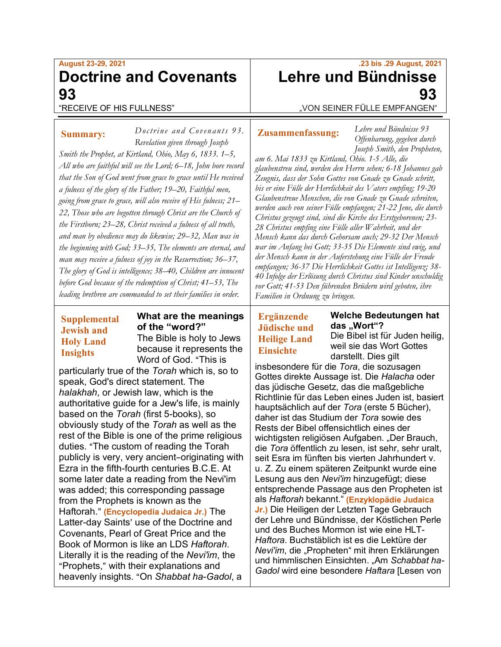# **August 23-29, 2021 Doctrine and Covenants 93** "RECEIVE OF HIS FULLNESS"

**Summary:**

*Doctrine and Covenants 93 . Revelation given through Joseph Smith the Prophet, at Kirtland, Ohio, May 6, 1833. 1–5, All who are faithful will see the Lord; 6–18, John bore record that the Son of God went from grace to grace until He received a fulness of the glory of the Father; 19–20, Faithful men, going from grace to grace, will also receive of His fulness; 21– 22, Those who are begotten through Christ are the Church of the Firstborn; 23–28, Christ received a fulness of all truth, and man by obedience may do likewise; 29–32, Man was in the beginning with God; 33–35, The elements are eternal, and man may receive a fulness of joy in the Resurrection; 36–37, The glory of God is intelligence; 38–40, Children are innocent before God because of the redemption of Christ; 41–53, The leading brethren are commanded to set their families in order.*

### **Supplemental Jewish and Holy Land Insights**

#### **What are the meanings of the "word?"** The Bible is holy to Jews

because it represents the Word of God. "This is

particularly true of the *Torah* which is, so to speak, God's direct statement. The *halakhah*, or Jewish law, which is the authoritative guide for a Jew's life, is mainly based on the *Torah* (first 5-books), so obviously study of the *Torah* as well as the rest of the Bible is one of the prime religious duties. "The custom of reading the Torah publicly is very, very ancient-originating with Ezra in the fifth-fourth centuries B.C.E. At some later date a reading from the Nevi'im was added; this corresponding passage from the Prophets is known as the Haftorah." (**Encyclopedia Judaica Jr.**) The Latter-day Saints' use of the Doctrine and Covenants, Pearl of Great Price and the Book of Mormon is like an LDS *Haftorah*. Literally it is the reading of the *Nevi'im*, the "Prophets," with their explanations and heavenly insights. AOn *Shabbat ha*-*Gadol*, a

# **.23 bis .29 August, 2021 Lehre und Bündnisse 93**

"VON SEINER FÜLLE EMPFANGEN"

# **Zusammenfassung:**

*Lehre und Bündnisse 93 Offenbarung, gegeben durch Joseph Smith, den Propheten,* 

*am 6. Mai 1833 zu Kirtland, Ohio. 1-5 Alle, die glaubenstreu sind, werden den Herrn sehen; 6-18 Johannes gab Zeugnis, dass der Sohn Gottes von Gnade zu Gnade schritt, bis er eine Fülle der Herrlichkeit des Vaters empfing; 19-20 Glaubenstreue Menschen, die von Gnade zu Gnade schreiten, werden auch von seiner Fülle empfangen; 21-22 Jene, die durch Christus gezeugt sind, sind die Kirche des Erstgeborenen; 23- 28 Christus empfing eine Fülle aller Wahrheit, und der Mensch kann das durch Gehorsam auch; 29-32 Der Mensch war im Anfang bei Gott; 33-35 Die Elemente sind ewig, und der Mensch kann in der Auferstehung eine Fülle der Freude empfangen; 36-37 Die Herrlichkeit Gottes ist Intelligenz; 38- 40 Infolge der Erlösung durch Christus sind Kinder unschuldig vor Gott; 41-53 Den führenden Brüdern wird geboten, ihre Familien in Ordnung zu bringen.*

## **Ergänzende Jüdische und Heilige Land Einsichte**

**Welche Bedeutungen hat das "Wort"?** Die Bibel ist für Juden heilig, weil sie das Wort Gottes

darstellt. Dies gilt insbesondere für die *Tora*, die sozusagen Gottes direkte Aussage ist. Die *Halacha* oder das jüdische Gesetz, das die maßgebliche Richtlinie für das Leben eines Juden ist, basiert hauptsächlich auf der *Tora* (erste 5 Bücher), daher ist das Studium der *Tora* sowie des Rests der Bibel offensichtlich eines der wichtigsten religiösen Aufgaben. "Der Brauch, die *Tora* öffentlich zu lesen, ist sehr, sehr uralt, seit Esra im fünften bis vierten Jahrhundert v. u. Z. Zu einem späteren Zeitpunkt wurde eine Lesung aus den *Nevi'im* hinzugefügt; diese entsprechende Passage aus den Propheten ist als *Haftorah* bekannt." **(Enzyklopädie Judaica Jr.)** Die Heiligen der Letzten Tage Gebrauch der Lehre und Bündnisse, der Köstlichen Perle und des Buches Mormon ist wie eine HLT-*Haftora*. Buchstäblich ist es die Lektüre der *Nevi'im*, die "Propheten" mit ihren Erklärungen und himmlischen Einsichten. "Am *Schabbat ha-Gadol* wird eine besondere *Haftara* [Lesen von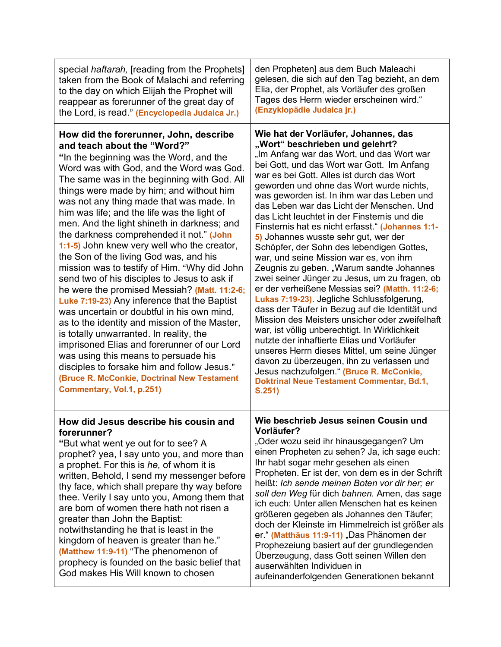| special <i>haftarah</i> , [reading from the Prophets]<br>taken from the Book of Malachi and referring<br>to the day on which Elijah the Prophet will<br>reappear as forerunner of the great day of<br>the Lord, is read." (Encyclopedia Judaica Jr.)                                                                                                                                                                                                                                                                                                                                                                                                                                                                                                                                                                                                                                                                                                                                                                                                                                               | den Propheten] aus dem Buch Maleachi<br>gelesen, die sich auf den Tag bezieht, an dem<br>Elia, der Prophet, als Vorläufer des großen<br>Tages des Herrn wieder erscheinen wird."<br>(Enzyklopädie Judaica jr.)                                                                                                                                                                                                                                                                                                                                                                                                                                                                                                                                                                                                                                                                                                                                                                                                                                                                                                                                                                                   |
|----------------------------------------------------------------------------------------------------------------------------------------------------------------------------------------------------------------------------------------------------------------------------------------------------------------------------------------------------------------------------------------------------------------------------------------------------------------------------------------------------------------------------------------------------------------------------------------------------------------------------------------------------------------------------------------------------------------------------------------------------------------------------------------------------------------------------------------------------------------------------------------------------------------------------------------------------------------------------------------------------------------------------------------------------------------------------------------------------|--------------------------------------------------------------------------------------------------------------------------------------------------------------------------------------------------------------------------------------------------------------------------------------------------------------------------------------------------------------------------------------------------------------------------------------------------------------------------------------------------------------------------------------------------------------------------------------------------------------------------------------------------------------------------------------------------------------------------------------------------------------------------------------------------------------------------------------------------------------------------------------------------------------------------------------------------------------------------------------------------------------------------------------------------------------------------------------------------------------------------------------------------------------------------------------------------|
| How did the forerunner, John, describe<br>and teach about the "Word?"<br>"In the beginning was the Word, and the<br>Word was with God, and the Word was God.<br>The same was in the beginning with God. All<br>things were made by him; and without him<br>was not any thing made that was made. In<br>him was life; and the life was the light of<br>men. And the light shineth in darkness; and<br>the darkness comprehended it not." (John<br>1:1-5) John knew very well who the creator,<br>the Son of the living God was, and his<br>mission was to testify of Him. "Why did John<br>send two of his disciples to Jesus to ask if<br>he were the promised Messiah? (Matt. 11:2-6;<br>Luke 7:19-23) Any inference that the Baptist<br>was uncertain or doubtful in his own mind,<br>as to the identity and mission of the Master,<br>is totally unwarranted. In reality, the<br>imprisoned Elias and forerunner of our Lord<br>was using this means to persuade his<br>disciples to forsake him and follow Jesus."<br>(Bruce R. McConkie, Doctrinal New Testament<br>Commentary, Vol.1, p.251) | Wie hat der Vorläufer, Johannes, das<br>"Wort" beschrieben und gelehrt?<br>"Im Anfang war das Wort, und das Wort war<br>bei Gott, und das Wort war Gott. Im Anfang<br>war es bei Gott. Alles ist durch das Wort<br>geworden und ohne das Wort wurde nichts,<br>was geworden ist. In ihm war das Leben und<br>das Leben war das Licht der Menschen. Und<br>das Licht leuchtet in der Finsternis und die<br>Finsternis hat es nicht erfasst." (Johannes 1:1-<br>5) Johannes wusste sehr gut, wer der<br>Schöpfer, der Sohn des lebendigen Gottes,<br>war, und seine Mission war es, von ihm<br>Zeugnis zu geben. "Warum sandte Johannes<br>zwei seiner Jünger zu Jesus, um zu fragen, ob<br>er der verheißene Messias sei? (Matth. 11:2-6;<br>Lukas 7:19-23). Jegliche Schlussfolgerung,<br>dass der Täufer in Bezug auf die Identität und<br>Mission des Meisters unsicher oder zweifelhaft<br>war, ist völlig unberechtigt. In Wirklichkeit<br>nutzte der inhaftierte Elias und Vorläufer<br>unseres Herrn dieses Mittel, um seine Jünger<br>davon zu überzeugen, ihn zu verlassen und<br>Jesus nachzufolgen." (Bruce R. McConkie,<br><b>Doktrinal Neue Testament Commentar, Bd.1,</b><br>S.251) |
| How did Jesus describe his cousin and<br>forerunner?<br>"But what went ye out for to see? A<br>prophet? yea, I say unto you, and more than<br>a prophet. For this is he, of whom it is<br>written, Behold, I send my messenger before<br>thy face, which shall prepare thy way before<br>thee. Verily I say unto you, Among them that<br>are born of women there hath not risen a<br>greater than John the Baptist:<br>notwithstanding he that is least in the<br>kingdom of heaven is greater than he."<br>(Matthew 11:9-11) "The phenomenon of<br>prophecy is founded on the basic belief that<br>God makes His Will known to chosen                                                                                                                                                                                                                                                                                                                                                                                                                                                             | Wie beschrieb Jesus seinen Cousin und<br>Vorläufer?<br>"Oder wozu seid ihr hinausgegangen? Um<br>einen Propheten zu sehen? Ja, ich sage euch:<br>Ihr habt sogar mehr gesehen als einen<br>Propheten. Er ist der, von dem es in der Schrift<br>heißt: Ich sende meinen Boten vor dir her; er<br>soll den Weg für dich bahnen. Amen, das sage<br>ich euch: Unter allen Menschen hat es keinen<br>größeren gegeben als Johannes den Täufer;<br>doch der Kleinste im Himmelreich ist größer als<br>er." (Matthäus 11:9-11) "Das Phänomen der<br>Prophezeiung basiert auf der grundlegenden<br>Überzeugung, dass Gott seinen Willen den<br>auserwählten Individuen in<br>aufeinanderfolgenden Generationen bekannt                                                                                                                                                                                                                                                                                                                                                                                                                                                                                    |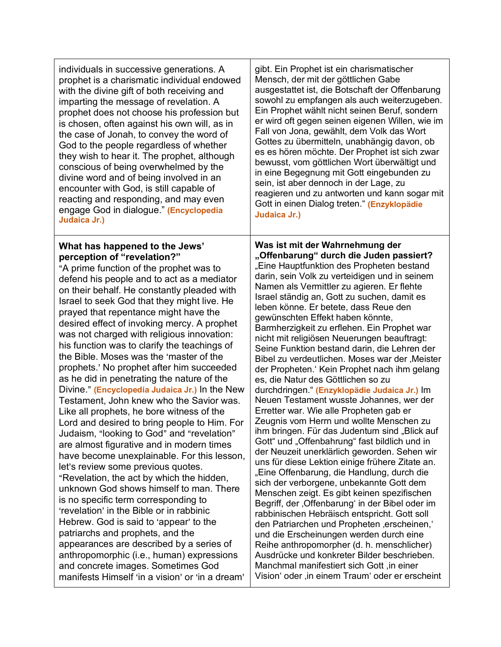| individuals in successive generations. A                                                                                                                                                                                                                                                                                                                                                                                                                                                                                                                                                                                                                                                                                                                                                                                                                                                                                                                                                                                                                                                                                                                                                                                                                                                                                                                                                                | gibt. Ein Prophet ist ein charismatischer                                                                                                                                                                                                                                                                                                                                                                                                                                                                                                                                                                                                                                                                                                                                                                                                                                                                                                                                                                                                                                                                                                                                                                                                                                                                                                                                                                                                                                                                                                                          |
|---------------------------------------------------------------------------------------------------------------------------------------------------------------------------------------------------------------------------------------------------------------------------------------------------------------------------------------------------------------------------------------------------------------------------------------------------------------------------------------------------------------------------------------------------------------------------------------------------------------------------------------------------------------------------------------------------------------------------------------------------------------------------------------------------------------------------------------------------------------------------------------------------------------------------------------------------------------------------------------------------------------------------------------------------------------------------------------------------------------------------------------------------------------------------------------------------------------------------------------------------------------------------------------------------------------------------------------------------------------------------------------------------------|--------------------------------------------------------------------------------------------------------------------------------------------------------------------------------------------------------------------------------------------------------------------------------------------------------------------------------------------------------------------------------------------------------------------------------------------------------------------------------------------------------------------------------------------------------------------------------------------------------------------------------------------------------------------------------------------------------------------------------------------------------------------------------------------------------------------------------------------------------------------------------------------------------------------------------------------------------------------------------------------------------------------------------------------------------------------------------------------------------------------------------------------------------------------------------------------------------------------------------------------------------------------------------------------------------------------------------------------------------------------------------------------------------------------------------------------------------------------------------------------------------------------------------------------------------------------|
| prophet is a charismatic individual endowed                                                                                                                                                                                                                                                                                                                                                                                                                                                                                                                                                                                                                                                                                                                                                                                                                                                                                                                                                                                                                                                                                                                                                                                                                                                                                                                                                             | Mensch, der mit der göttlichen Gabe                                                                                                                                                                                                                                                                                                                                                                                                                                                                                                                                                                                                                                                                                                                                                                                                                                                                                                                                                                                                                                                                                                                                                                                                                                                                                                                                                                                                                                                                                                                                |
| with the divine gift of both receiving and                                                                                                                                                                                                                                                                                                                                                                                                                                                                                                                                                                                                                                                                                                                                                                                                                                                                                                                                                                                                                                                                                                                                                                                                                                                                                                                                                              | ausgestattet ist, die Botschaft der Offenbarung                                                                                                                                                                                                                                                                                                                                                                                                                                                                                                                                                                                                                                                                                                                                                                                                                                                                                                                                                                                                                                                                                                                                                                                                                                                                                                                                                                                                                                                                                                                    |
| imparting the message of revelation. A                                                                                                                                                                                                                                                                                                                                                                                                                                                                                                                                                                                                                                                                                                                                                                                                                                                                                                                                                                                                                                                                                                                                                                                                                                                                                                                                                                  | sowohl zu empfangen als auch weiterzugeben.                                                                                                                                                                                                                                                                                                                                                                                                                                                                                                                                                                                                                                                                                                                                                                                                                                                                                                                                                                                                                                                                                                                                                                                                                                                                                                                                                                                                                                                                                                                        |
| prophet does not choose his profession but                                                                                                                                                                                                                                                                                                                                                                                                                                                                                                                                                                                                                                                                                                                                                                                                                                                                                                                                                                                                                                                                                                                                                                                                                                                                                                                                                              | Ein Prophet wählt nicht seinen Beruf, sondern                                                                                                                                                                                                                                                                                                                                                                                                                                                                                                                                                                                                                                                                                                                                                                                                                                                                                                                                                                                                                                                                                                                                                                                                                                                                                                                                                                                                                                                                                                                      |
| is chosen, often against his own will, as in                                                                                                                                                                                                                                                                                                                                                                                                                                                                                                                                                                                                                                                                                                                                                                                                                                                                                                                                                                                                                                                                                                                                                                                                                                                                                                                                                            | er wird oft gegen seinen eigenen Willen, wie im                                                                                                                                                                                                                                                                                                                                                                                                                                                                                                                                                                                                                                                                                                                                                                                                                                                                                                                                                                                                                                                                                                                                                                                                                                                                                                                                                                                                                                                                                                                    |
| the case of Jonah, to convey the word of                                                                                                                                                                                                                                                                                                                                                                                                                                                                                                                                                                                                                                                                                                                                                                                                                                                                                                                                                                                                                                                                                                                                                                                                                                                                                                                                                                | Fall von Jona, gewählt, dem Volk das Wort                                                                                                                                                                                                                                                                                                                                                                                                                                                                                                                                                                                                                                                                                                                                                                                                                                                                                                                                                                                                                                                                                                                                                                                                                                                                                                                                                                                                                                                                                                                          |
| God to the people regardless of whether                                                                                                                                                                                                                                                                                                                                                                                                                                                                                                                                                                                                                                                                                                                                                                                                                                                                                                                                                                                                                                                                                                                                                                                                                                                                                                                                                                 | Gottes zu übermitteln, unabhängig davon, ob                                                                                                                                                                                                                                                                                                                                                                                                                                                                                                                                                                                                                                                                                                                                                                                                                                                                                                                                                                                                                                                                                                                                                                                                                                                                                                                                                                                                                                                                                                                        |
| they wish to hear it. The prophet, although                                                                                                                                                                                                                                                                                                                                                                                                                                                                                                                                                                                                                                                                                                                                                                                                                                                                                                                                                                                                                                                                                                                                                                                                                                                                                                                                                             | es es hören möchte. Der Prophet ist sich zwar                                                                                                                                                                                                                                                                                                                                                                                                                                                                                                                                                                                                                                                                                                                                                                                                                                                                                                                                                                                                                                                                                                                                                                                                                                                                                                                                                                                                                                                                                                                      |
| conscious of being overwhelmed by the                                                                                                                                                                                                                                                                                                                                                                                                                                                                                                                                                                                                                                                                                                                                                                                                                                                                                                                                                                                                                                                                                                                                                                                                                                                                                                                                                                   | bewusst, vom göttlichen Wort überwältigt und                                                                                                                                                                                                                                                                                                                                                                                                                                                                                                                                                                                                                                                                                                                                                                                                                                                                                                                                                                                                                                                                                                                                                                                                                                                                                                                                                                                                                                                                                                                       |
| divine word and of being involved in an                                                                                                                                                                                                                                                                                                                                                                                                                                                                                                                                                                                                                                                                                                                                                                                                                                                                                                                                                                                                                                                                                                                                                                                                                                                                                                                                                                 | in eine Begegnung mit Gott eingebunden zu                                                                                                                                                                                                                                                                                                                                                                                                                                                                                                                                                                                                                                                                                                                                                                                                                                                                                                                                                                                                                                                                                                                                                                                                                                                                                                                                                                                                                                                                                                                          |
| encounter with God, is still capable of                                                                                                                                                                                                                                                                                                                                                                                                                                                                                                                                                                                                                                                                                                                                                                                                                                                                                                                                                                                                                                                                                                                                                                                                                                                                                                                                                                 | sein, ist aber dennoch in der Lage, zu                                                                                                                                                                                                                                                                                                                                                                                                                                                                                                                                                                                                                                                                                                                                                                                                                                                                                                                                                                                                                                                                                                                                                                                                                                                                                                                                                                                                                                                                                                                             |
| reacting and responding, and may even                                                                                                                                                                                                                                                                                                                                                                                                                                                                                                                                                                                                                                                                                                                                                                                                                                                                                                                                                                                                                                                                                                                                                                                                                                                                                                                                                                   | reagieren und zu antworten und kann sogar mit                                                                                                                                                                                                                                                                                                                                                                                                                                                                                                                                                                                                                                                                                                                                                                                                                                                                                                                                                                                                                                                                                                                                                                                                                                                                                                                                                                                                                                                                                                                      |
| engage God in dialogue." (Encyclopedia                                                                                                                                                                                                                                                                                                                                                                                                                                                                                                                                                                                                                                                                                                                                                                                                                                                                                                                                                                                                                                                                                                                                                                                                                                                                                                                                                                  | Gott in einen Dialog treten." (Enzyklopädie                                                                                                                                                                                                                                                                                                                                                                                                                                                                                                                                                                                                                                                                                                                                                                                                                                                                                                                                                                                                                                                                                                                                                                                                                                                                                                                                                                                                                                                                                                                        |
| Judaica Jr.)                                                                                                                                                                                                                                                                                                                                                                                                                                                                                                                                                                                                                                                                                                                                                                                                                                                                                                                                                                                                                                                                                                                                                                                                                                                                                                                                                                                            | Judaica Jr.)                                                                                                                                                                                                                                                                                                                                                                                                                                                                                                                                                                                                                                                                                                                                                                                                                                                                                                                                                                                                                                                                                                                                                                                                                                                                                                                                                                                                                                                                                                                                                       |
| What has happened to the Jews'<br>perception of "revelation?"<br>"A prime function of the prophet was to<br>defend his people and to act as a mediator<br>on their behalf. He constantly pleaded with<br>Israel to seek God that they might live. He<br>prayed that repentance might have the<br>desired effect of invoking mercy. A prophet<br>was not charged with religious innovation:<br>his function was to clarify the teachings of<br>the Bible. Moses was the 'master of the<br>prophets.' No prophet after him succeeded<br>as he did in penetrating the nature of the<br>Divine." (Encyclopedia Judaica Jr.) In the New<br>Testament, John knew who the Savior was.<br>Like all prophets, he bore witness of the<br>Lord and desired to bring people to Him. For<br>Judaism, "looking to God" and "revelation"<br>are almost figurative and in modern times<br>have become unexplainable. For this lesson,<br>let's review some previous quotes.<br>"Revelation, the act by which the hidden,<br>unknown God shows himself to man. There<br>is no specific term corresponding to<br>'revelation' in the Bible or in rabbinic<br>Hebrew. God is said to 'appear' to the<br>patriarchs and prophets, and the<br>appearances are described by a series of<br>anthropomorphic (i.e., human) expressions<br>and concrete images. Sometimes God<br>manifests Himself 'in a vision' or 'in a dream' | Was ist mit der Wahrnehmung der<br>"Offenbarung" durch die Juden passiert?<br>"Eine Hauptfunktion des Propheten bestand<br>darin, sein Volk zu verteidigen und in seinem<br>Namen als Vermittler zu agieren. Er flehte<br>Israel ständig an, Gott zu suchen, damit es<br>leben könne. Er betete, dass Reue den<br>gewünschten Effekt haben könnte,<br>Barmherzigkeit zu erflehen. Ein Prophet war<br>nicht mit religiösen Neuerungen beauftragt:<br>Seine Funktion bestand darin, die Lehren der<br>Bibel zu verdeutlichen. Moses war der 'Meister<br>der Propheten. Kein Prophet nach ihm gelang<br>es, die Natur des Göttlichen so zu<br>durchdringen." (Enzyklopädie Judaica Jr.) Im<br>Neuen Testament wusste Johannes, wer der<br>Erretter war. Wie alle Propheten gab er<br>Zeugnis vom Herrn und wollte Menschen zu<br>ihm bringen. Für das Judentum sind "Blick auf<br>Gott" und "Offenbahrung" fast bildlich und in<br>der Neuzeit unerklärlich geworden. Sehen wir<br>uns für diese Lektion einige frühere Zitate an.<br>"Eine Offenbarung, die Handlung, durch die<br>sich der verborgene, unbekannte Gott dem<br>Menschen zeigt. Es gibt keinen spezifischen<br>Begriff, der , Offenbarung' in der Bibel oder im<br>rabbinischen Hebräisch entspricht. Gott soll<br>den Patriarchen und Propheten ,erscheinen,<br>und die Erscheinungen werden durch eine<br>Reihe anthropomorpher (d. h. menschlicher)<br>Ausdrücke und konkreter Bilder beschrieben.<br>Manchmal manifestiert sich Gott, in einer<br>Vision' oder ,in einem Traum' oder er erscheint |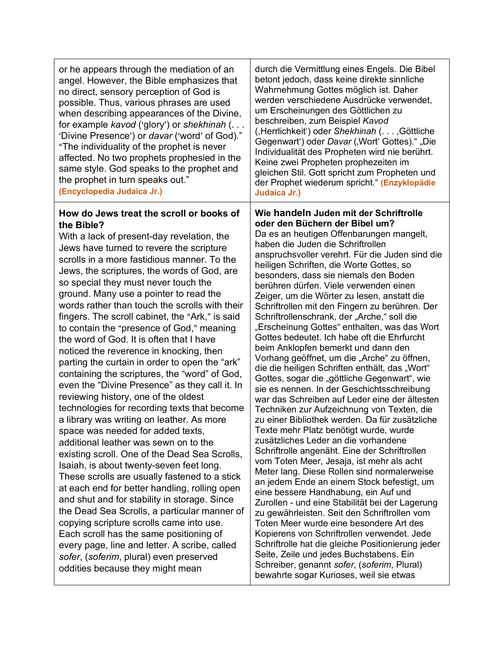#### **How do Jews treat the scroll or books of the Bible?**

With a lack of present-day revelation, the Jews have turned to revere the scripture scrolls in a more fastidious manner. To the Jews, the scriptures, the words of God, are so special they must never touch the ground. Many use a pointer to read the words rather than touch the scrolls with their fingers. The scroll cabinet, the "Ark," is said to contain the "presence of God," meaning the word of God. It is often that I have noticed the reverence in knocking, then parting the curtain in order to open the "ark" containing the scriptures, the "word" of God, even the "Divine Presence" as they call it. In reviewing history, one of the oldest technologies for recording texts that become a library was writing on leather. As more space was needed for added texts, additional leather was sewn on to the existing scroll. One of the Dead Sea Scrolls, Isaiah, is about twenty-seven feet long. These scrolls are usually fastened to a stick at each end for better handling, rolling open and shut and for stability in storage. Since the Dead Sea Scrolls, a particular manner of copying scripture scrolls came into use. Each scroll has the same positioning of every page, line and letter. A scribe, called *sofer*, (*soferim*, plural) even preserved oddities because they might mean

#### **Wie handeln Juden mit der Schriftrolle oder den Büchern der Bibel um?**

Da es an heutigen Offenbarungen mangelt, haben die Juden die Schriftrollen anspruchsvoller verehrt. Für die Juden sind die heiligen Schriften, die Worte Gottes, so besonders, dass sie niemals den Boden berühren dürfen. Viele verwenden einen Zeiger, um die Wörter zu lesen, anstatt die Schriftrollen mit den Fingern zu berühren. Der Schriftrollenschrank, der "Arche," soll die "Erscheinung Gottes" enthalten, was das Wort Gottes bedeutet. Ich habe oft die Ehrfurcht beim Anklopfen bemerkt und dann den Vorhang geöffnet, um die "Arche" zu öffnen, die die heiligen Schriften enthält, das "Wort" Gottes, sogar die "göttliche Gegenwart", wie sie es nennen. In der Geschichtsschreibung war das Schreiben auf Leder eine der ältesten Techniken zur Aufzeichnung von Texten, die zu einer Bibliothek werden. Da für zusätzliche Texte mehr Platz benötigt wurde, wurde zusätzliches Leder an die vorhandene Schriftrolle angenäht. Eine der Schriftrollen vom Toten Meer, Jesaja, ist mehr als acht Meter lang. Diese Rollen sind normalerweise an jedem Ende an einem Stock befestigt, um eine bessere Handhabung, ein Auf und Zurollen - und eine Stabilität bei der Lagerung zu gewährleisten. Seit den Schriftrollen vom Toten Meer wurde eine besondere Art des Kopierens von Schriftrollen verwendet. Jede Schriftrolle hat die gleiche Positionierung jeder Seite, Zeile und jedes Buchstabens. Ein Schreiber, genannt *sofer*, (*soferim*, Plural) bewahrte sogar Kurioses, weil sie etwas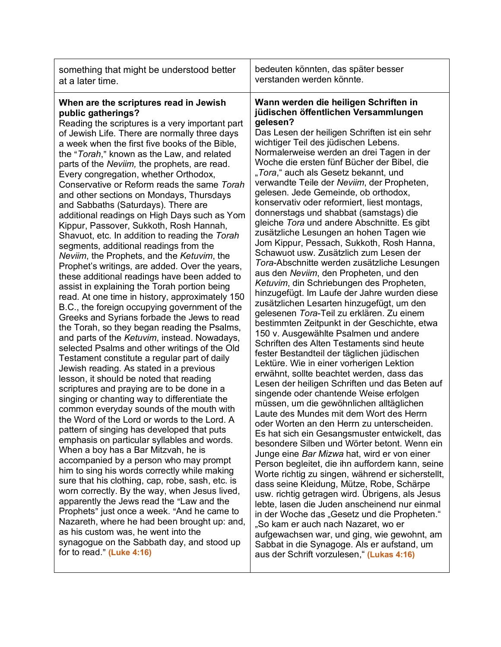| something that might be understood better                                                                                                                                                                                                                                                                                                                                                                                                                                                                                                                                                                                                                                                                                                                                                                                                                                                                                                                                                                                                                                                                                                                                                                                                                                                                                                                                                                                                                                                                                                                                                                                                                                                                                                                                                                                                                                                                                                                                                                                                                                                                               | bedeuten könnten, das später besser                                                                                                                                                                                                                                                                                                                                                                                                                                                                                                                                                                                                                                                                                                                                                                                                                                                                                                                                                                                                                                                                                                                                                                                                                                                                                                                                                                                                                                                                                                                                                                                                                                                                                                                                                                                                                                                                                                                                                                                                                                                                                             |
|-------------------------------------------------------------------------------------------------------------------------------------------------------------------------------------------------------------------------------------------------------------------------------------------------------------------------------------------------------------------------------------------------------------------------------------------------------------------------------------------------------------------------------------------------------------------------------------------------------------------------------------------------------------------------------------------------------------------------------------------------------------------------------------------------------------------------------------------------------------------------------------------------------------------------------------------------------------------------------------------------------------------------------------------------------------------------------------------------------------------------------------------------------------------------------------------------------------------------------------------------------------------------------------------------------------------------------------------------------------------------------------------------------------------------------------------------------------------------------------------------------------------------------------------------------------------------------------------------------------------------------------------------------------------------------------------------------------------------------------------------------------------------------------------------------------------------------------------------------------------------------------------------------------------------------------------------------------------------------------------------------------------------------------------------------------------------------------------------------------------------|---------------------------------------------------------------------------------------------------------------------------------------------------------------------------------------------------------------------------------------------------------------------------------------------------------------------------------------------------------------------------------------------------------------------------------------------------------------------------------------------------------------------------------------------------------------------------------------------------------------------------------------------------------------------------------------------------------------------------------------------------------------------------------------------------------------------------------------------------------------------------------------------------------------------------------------------------------------------------------------------------------------------------------------------------------------------------------------------------------------------------------------------------------------------------------------------------------------------------------------------------------------------------------------------------------------------------------------------------------------------------------------------------------------------------------------------------------------------------------------------------------------------------------------------------------------------------------------------------------------------------------------------------------------------------------------------------------------------------------------------------------------------------------------------------------------------------------------------------------------------------------------------------------------------------------------------------------------------------------------------------------------------------------------------------------------------------------------------------------------------------------|
| at a later time.                                                                                                                                                                                                                                                                                                                                                                                                                                                                                                                                                                                                                                                                                                                                                                                                                                                                                                                                                                                                                                                                                                                                                                                                                                                                                                                                                                                                                                                                                                                                                                                                                                                                                                                                                                                                                                                                                                                                                                                                                                                                                                        | verstanden werden könnte.                                                                                                                                                                                                                                                                                                                                                                                                                                                                                                                                                                                                                                                                                                                                                                                                                                                                                                                                                                                                                                                                                                                                                                                                                                                                                                                                                                                                                                                                                                                                                                                                                                                                                                                                                                                                                                                                                                                                                                                                                                                                                                       |
| When are the scriptures read in Jewish<br>public gatherings?<br>Reading the scriptures is a very important part<br>of Jewish Life. There are normally three days<br>a week when the first five books of the Bible,<br>the "Torah," known as the Law, and related<br>parts of the Neviim, the prophets, are read.<br>Every congregation, whether Orthodox,<br>Conservative or Reform reads the same Torah<br>and other sections on Mondays, Thursdays<br>and Sabbaths (Saturdays). There are<br>additional readings on High Days such as Yom<br>Kippur, Passover, Sukkoth, Rosh Hannah,<br>Shavuot, etc. In addition to reading the Torah<br>segments, additional readings from the<br>Neviim, the Prophets, and the Ketuvim, the<br>Prophet's writings, are added. Over the years,<br>these additional readings have been added to<br>assist in explaining the Torah portion being<br>read. At one time in history, approximately 150<br>B.C., the foreign occupying government of the<br>Greeks and Syrians forbade the Jews to read<br>the Torah, so they began reading the Psalms,<br>and parts of the Ketuvim, instead. Nowadays,<br>selected Psalms and other writings of the Old<br>Testament constitute a regular part of daily<br>Jewish reading. As stated in a previous<br>lesson, it should be noted that reading<br>scriptures and praying are to be done in a<br>singing or chanting way to differentiate the<br>common everyday sounds of the mouth with<br>the Word of the Lord or words to the Lord. A<br>pattern of singing has developed that puts<br>emphasis on particular syllables and words.<br>When a boy has a Bar Mitzvah, he is<br>accompanied by a person who may prompt<br>him to sing his words correctly while making<br>sure that his clothing, cap, robe, sash, etc. is<br>worn correctly. By the way, when Jesus lived,<br>apparently the Jews read the "Law and the<br>Prophets" just once a week. "And he came to<br>Nazareth, where he had been brought up: and,<br>as his custom was, he went into the<br>synagogue on the Sabbath day, and stood up<br>for to read." (Luke 4:16) | Wann werden die heiligen Schriften in<br>jüdischen öffentlichen Versammlungen<br>gelesen?<br>Das Lesen der heiligen Schriften ist ein sehr<br>wichtiger Teil des jüdischen Lebens.<br>Normalerweise werden an drei Tagen in der<br>Woche die ersten fünf Bücher der Bibel, die<br>"Tora," auch als Gesetz bekannt, und<br>verwandte Teile der Neviim, der Propheten,<br>gelesen. Jede Gemeinde, ob orthodox,<br>konservativ oder reformiert, liest montags,<br>donnerstags und shabbat (samstags) die<br>gleiche Tora und andere Abschnitte. Es gibt<br>zusätzliche Lesungen an hohen Tagen wie<br>Jom Kippur, Pessach, Sukkoth, Rosh Hanna,<br>Schawuot usw. Zusätzlich zum Lesen der<br>Tora-Abschnitte werden zusätzliche Lesungen<br>aus den Neviim, den Propheten, und den<br>Ketuvim, din Schriebungen des Propheten,<br>hinzugefügt. Im Laufe der Jahre wurden diese<br>zusätzlichen Lesarten hinzugefügt, um den<br>gelesenen Tora-Teil zu erklären. Zu einem<br>bestimmten Zeitpunkt in der Geschichte, etwa<br>150 v. Ausgewählte Psalmen und andere<br>Schriften des Alten Testaments sind heute<br>fester Bestandteil der täglichen jüdischen<br>Lektüre. Wie in einer vorherigen Lektion<br>erwähnt, sollte beachtet werden, dass das<br>Lesen der heiligen Schriften und das Beten auf<br>singende oder chantende Weise erfolgen<br>müssen, um die gewöhnlichen alltäglichen<br>Laute des Mundes mit dem Wort des Herrn<br>oder Worten an den Herrn zu unterscheiden.<br>Es hat sich ein Gesangsmuster entwickelt, das<br>besondere Silben und Wörter betont. Wenn ein<br>Junge eine Bar Mizwa hat, wird er von einer<br>Person begleitet, die ihn auffordern kann, seine<br>Worte richtig zu singen, während er sicherstellt,<br>dass seine Kleidung, Mütze, Robe, Schärpe<br>usw. richtig getragen wird. Übrigens, als Jesus<br>lebte, lasen die Juden anscheinend nur einmal<br>in der Woche das "Gesetz und die Propheten."<br>"So kam er auch nach Nazaret, wo er<br>aufgewachsen war, und ging, wie gewohnt, am<br>Sabbat in die Synagoge. Als er aufstand, um<br>aus der Schrift vorzulesen," (Lukas 4:16) |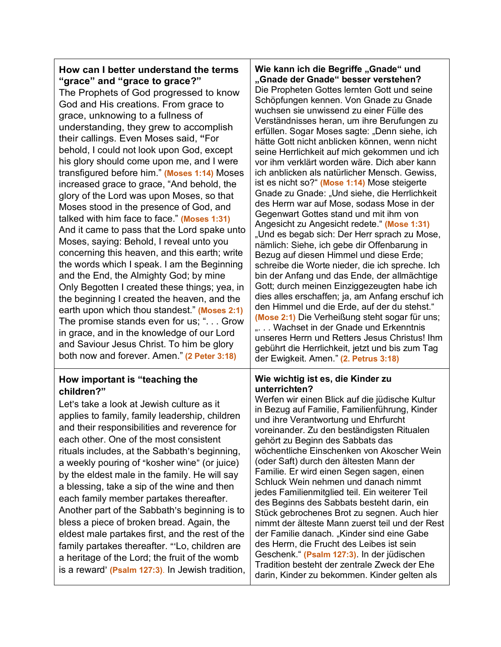| How can I better understand the terms<br>"grace" and "grace to grace?"<br>The Prophets of God progressed to know<br>God and His creations. From grace to<br>grace, unknowing to a fullness of<br>understanding, they grew to accomplish<br>their callings. Even Moses said, "For<br>behold, I could not look upon God, except<br>his glory should come upon me, and I were<br>transfigured before him." (Moses 1:14) Moses<br>increased grace to grace, "And behold, the<br>glory of the Lord was upon Moses, so that<br>Moses stood in the presence of God, and<br>talked with him face to face." (Moses 1:31)<br>And it came to pass that the Lord spake unto<br>Moses, saying: Behold, I reveal unto you<br>concerning this heaven, and this earth; write<br>the words which I speak. I am the Beginning<br>and the End, the Almighty God; by mine<br>Only Begotten I created these things; yea, in<br>the beginning I created the heaven, and the<br>earth upon which thou standest." (Moses 2:1)<br>The promise stands even for us; ". Grow<br>in grace, and in the knowledge of our Lord<br>and Saviour Jesus Christ. To him be glory<br>both now and forever. Amen." (2 Peter 3:18) | Wie kann ich die Begriffe "Gnade" und<br>"Gnade der Gnade" besser verstehen?<br>Die Propheten Gottes lernten Gott und seine<br>Schöpfungen kennen. Von Gnade zu Gnade<br>wuchsen sie unwissend zu einer Fülle des<br>Verständnisses heran, um ihre Berufungen zu<br>erfüllen. Sogar Moses sagte: "Denn siehe, ich<br>hätte Gott nicht anblicken können, wenn nicht<br>seine Herrlichkeit auf mich gekommen und ich<br>vor ihm verklärt worden wäre. Dich aber kann<br>ich anblicken als natürlicher Mensch. Gewiss,<br>ist es nicht so?" (Mose 1:14) Mose steigerte<br>Gnade zu Gnade: "Und siehe, die Herrlichkeit<br>des Herrn war auf Mose, sodass Mose in der<br>Gegenwart Gottes stand und mit ihm von<br>Angesicht zu Angesicht redete." (Mose 1:31)<br>"Und es begab sich: Der Herr sprach zu Mose,<br>nämlich: Siehe, ich gebe dir Offenbarung in<br>Bezug auf diesen Himmel und diese Erde;<br>schreibe die Worte nieder, die ich spreche. Ich<br>bin der Anfang und das Ende, der allmächtige<br>Gott; durch meinen Einziggezeugten habe ich<br>dies alles erschaffen; ja, am Anfang erschuf ich<br>den Himmel und die Erde, auf der du stehst."<br>(Mose 2:1) Die Verheißung steht sogar für uns;<br>" Wachset in der Gnade und Erkenntnis<br>unseres Herrn und Retters Jesus Christus! Ihm<br>gebührt die Herrlichkeit, jetzt und bis zum Tag<br>der Ewigkeit. Amen." (2. Petrus 3:18) |
|--------------------------------------------------------------------------------------------------------------------------------------------------------------------------------------------------------------------------------------------------------------------------------------------------------------------------------------------------------------------------------------------------------------------------------------------------------------------------------------------------------------------------------------------------------------------------------------------------------------------------------------------------------------------------------------------------------------------------------------------------------------------------------------------------------------------------------------------------------------------------------------------------------------------------------------------------------------------------------------------------------------------------------------------------------------------------------------------------------------------------------------------------------------------------------------------|----------------------------------------------------------------------------------------------------------------------------------------------------------------------------------------------------------------------------------------------------------------------------------------------------------------------------------------------------------------------------------------------------------------------------------------------------------------------------------------------------------------------------------------------------------------------------------------------------------------------------------------------------------------------------------------------------------------------------------------------------------------------------------------------------------------------------------------------------------------------------------------------------------------------------------------------------------------------------------------------------------------------------------------------------------------------------------------------------------------------------------------------------------------------------------------------------------------------------------------------------------------------------------------------------------------------------------------------------------------------------------------------------|
| How important is "teaching the<br>children?"<br>Let's take a look at Jewish culture as it<br>applies to family, family leadership, children<br>and their responsibilities and reverence for<br>each other. One of the most consistent<br>rituals includes, at the Sabbath's beginning,<br>a weekly pouring of "kosher wine" (or juice)<br>by the eldest male in the family. He will say<br>a blessing, take a sip of the wine and then<br>each family member partakes thereafter.<br>Another part of the Sabbath's beginning is to<br>bless a piece of broken bread. Again, the<br>eldest male partakes first, and the rest of the<br>family partakes thereafter. "'Lo, children are<br>a heritage of the Lord; the fruit of the womb<br>is a reward' (Psalm 127:3). In Jewish tradition,                                                                                                                                                                                                                                                                                                                                                                                                  | Wie wichtig ist es, die Kinder zu<br>unterrichten?<br>Werfen wir einen Blick auf die jüdische Kultur<br>in Bezug auf Familie, Familienführung, Kinder<br>und ihre Verantwortung und Ehrfurcht<br>voreinander. Zu den beständigsten Ritualen<br>gehört zu Beginn des Sabbats das<br>wöchentliche Einschenken von Akoscher Wein<br>(oder Saft) durch den ältesten Mann der<br>Familie. Er wird einen Segen sagen, einen<br>Schluck Wein nehmen und danach nimmt<br>jedes Familienmitglied teil. Ein weiterer Teil<br>des Beginns des Sabbats besteht darin, ein<br>Stück gebrochenes Brot zu segnen. Auch hier<br>nimmt der älteste Mann zuerst teil und der Rest<br>der Familie danach. "Kinder sind eine Gabe<br>des Herrn, die Frucht des Leibes ist sein<br>Geschenk." (Psalm 127:3). In der jüdischen<br>Tradition besteht der zentrale Zweck der Ehe<br>darin, Kinder zu bekommen. Kinder gelten als                                                                                                                                                                                                                                                                                                                                                                                                                                                                                           |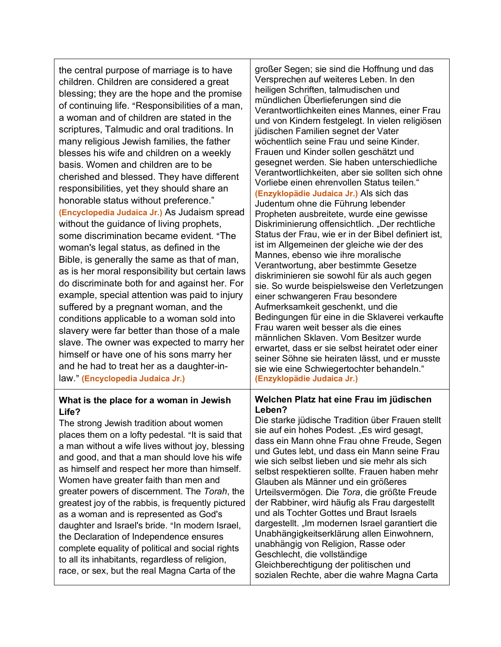the central purpose of marriage is to have children. Children are considered a great blessing; they are the hope and the promise of continuing life. "Responsibilities of a man, a woman and of children are stated in the scriptures, Talmudic and oral traditions. In many religious Jewish families, the father blesses his wife and children on a weekly basis. Women and children are to be cherished and blessed. They have different responsibilities, yet they should share an honorable status without preference." **(Encyclopedia Judaica Jr.)** As Judaism spread without the guidance of living prophets, some discrimination became evident. "The woman's legal status, as defined in the Bible, is generally the same as that of man, as is her moral responsibility but certain laws do discriminate both for and against her. For example, special attention was paid to injury suffered by a pregnant woman, and the conditions applicable to a woman sold into slavery were far better than those of a male slave. The owner was expected to marry her himself or have one of his sons marry her and he had to treat her as a daughter-inlaw.@ **(Encyclopedia Judaica Jr.)**

#### **What is the place for a woman in Jewish Life?**

The strong Jewish tradition about women places them on a lofty pedestal. "It is said that a man without a wife lives without joy, blessing and good, and that a man should love his wife as himself and respect her more than himself. Women have greater faith than men and greater powers of discernment. The *Torah*, the greatest joy of the rabbis, is frequently pictured as a woman and is represented as God's daughter and Israel's bride. "In modern Israel, the Declaration of Independence ensures complete equality of political and social rights to all its inhabitants, regardless of religion, race, or sex, but the real Magna Carta of the

großer Segen; sie sind die Hoffnung und das Versprechen auf weiteres Leben. In den heiligen Schriften, talmudischen und mündlichen Überlieferungen sind die Verantwortlichkeiten eines Mannes, einer Frau und von Kindern festgelegt. In vielen religiösen jüdischen Familien segnet der Vater wöchentlich seine Frau und seine Kinder. Frauen und Kinder sollen geschätzt und gesegnet werden. Sie haben unterschiedliche Verantwortlichkeiten, aber sie sollten sich ohne Vorliebe einen ehrenvollen Status teilen." **(Enzyklopädie Judaica Jr.)** Als sich das Judentum ohne die Führung lebender Propheten ausbreitete, wurde eine gewisse Diskriminierung offensichtlich. "Der rechtliche Status der Frau, wie er in der Bibel definiert ist, ist im Allgemeinen der gleiche wie der des Mannes, ebenso wie ihre moralische Verantwortung, aber bestimmte Gesetze diskriminieren sie sowohl für als auch gegen sie. So wurde beispielsweise den Verletzungen einer schwangeren Frau besondere Aufmerksamkeit geschenkt, und die Bedingungen für eine in die Sklaverei verkaufte Frau waren weit besser als die eines männlichen Sklaven. Vom Besitzer wurde erwartet, dass er sie selbst heiratet oder einer seiner Söhne sie heiraten lässt, und er musste sie wie eine Schwiegertochter behandeln." **(Enzyklopädie Judaica Jr.)**

#### **Welchen Platz hat eine Frau im jüdischen Leben?**

Die starke jüdische Tradition über Frauen stellt sie auf ein hohes Podest. "Es wird gesagt, dass ein Mann ohne Frau ohne Freude, Segen und Gutes lebt, und dass ein Mann seine Frau wie sich selbst lieben und sie mehr als sich selbst respektieren sollte. Frauen haben mehr Glauben als Männer und ein größeres Urteilsvermögen. Die *Tora*, die größte Freude der Rabbiner, wird häufig als Frau dargestellt und als Tochter Gottes und Braut Israels dargestellt. "Im modernen Israel garantiert die Unabhängigkeitserklärung allen Einwohnern, unabhängig von Religion, Rasse oder Geschlecht, die vollständige Gleichberechtigung der politischen und sozialen Rechte, aber die wahre Magna Carta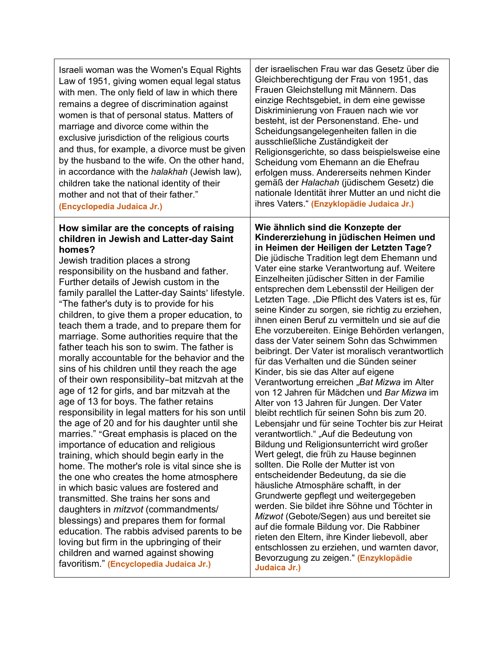| Israeli woman was the Women's Equal Rights<br>Law of 1951, giving women equal legal status<br>with men. The only field of law in which there<br>remains a degree of discrimination against<br>women is that of personal status. Matters of<br>marriage and divorce come within the<br>exclusive jurisdiction of the religious courts<br>and thus, for example, a divorce must be given<br>by the husband to the wife. On the other hand,<br>in accordance with the halakhah (Jewish law),<br>children take the national identity of their<br>mother and not that of their father."<br>(Encyclopedia Judaica Jr.)                                                                                                                                                                                                                                                                                                                                                                                                                                                                                                                                                                                                                                                                                                                                                                                                                                                   | der israelischen Frau war das Gesetz über die<br>Gleichberechtigung der Frau von 1951, das<br>Frauen Gleichstellung mit Männern. Das<br>einzige Rechtsgebiet, in dem eine gewisse<br>Diskriminierung von Frauen nach wie vor<br>besteht, ist der Personenstand. Ehe- und<br>Scheidungsangelegenheiten fallen in die<br>ausschließliche Zuständigkeit der<br>Religionsgerichte, so dass beispielsweise eine<br>Scheidung vom Ehemann an die Ehefrau<br>erfolgen muss. Andererseits nehmen Kinder<br>gemäß der Halachah (jüdischem Gesetz) die<br>nationale Identität ihrer Mutter an und nicht die<br>ihres Vaters." (Enzyklopädie Judaica Jr.)                                                                                                                                                                                                                                                                                                                                                                                                                                                                                                                                                                                                                                                                                                                                                                                                                                                                                                                                    |
|--------------------------------------------------------------------------------------------------------------------------------------------------------------------------------------------------------------------------------------------------------------------------------------------------------------------------------------------------------------------------------------------------------------------------------------------------------------------------------------------------------------------------------------------------------------------------------------------------------------------------------------------------------------------------------------------------------------------------------------------------------------------------------------------------------------------------------------------------------------------------------------------------------------------------------------------------------------------------------------------------------------------------------------------------------------------------------------------------------------------------------------------------------------------------------------------------------------------------------------------------------------------------------------------------------------------------------------------------------------------------------------------------------------------------------------------------------------------|-----------------------------------------------------------------------------------------------------------------------------------------------------------------------------------------------------------------------------------------------------------------------------------------------------------------------------------------------------------------------------------------------------------------------------------------------------------------------------------------------------------------------------------------------------------------------------------------------------------------------------------------------------------------------------------------------------------------------------------------------------------------------------------------------------------------------------------------------------------------------------------------------------------------------------------------------------------------------------------------------------------------------------------------------------------------------------------------------------------------------------------------------------------------------------------------------------------------------------------------------------------------------------------------------------------------------------------------------------------------------------------------------------------------------------------------------------------------------------------------------------------------------------------------------------------------------------------|
| How similar are the concepts of raising<br>children in Jewish and Latter-day Saint<br>homes?<br>Jewish tradition places a strong<br>responsibility on the husband and father.<br>Further details of Jewish custom in the<br>family parallel the Latter-day Saints' lifestyle.<br>"The father's duty is to provide for his<br>children, to give them a proper education, to<br>teach them a trade, and to prepare them for<br>marriage. Some authorities require that the<br>father teach his son to swim. The father is<br>morally accountable for the behavior and the<br>sins of his children until they reach the age<br>of their own responsibility-bat mitzvah at the<br>age of 12 for girls, and bar mitzvah at the<br>age of 13 for boys. The father retains<br>responsibility in legal matters for his son until<br>the age of 20 and for his daughter until she<br>marries." "Great emphasis is placed on the<br>importance of education and religious<br>training, which should begin early in the<br>home. The mother's role is vital since she is<br>the one who creates the home atmosphere<br>in which basic values are fostered and<br>transmitted. She trains her sons and<br>daughters in <i>mitzvot</i> (commandments/<br>blessings) and prepares them for formal<br>education. The rabbis advised parents to be<br>loving but firm in the upbringing of their<br>children and warned against showing<br>favoritism." (Encyclopedia Judaica Jr.) | Wie ähnlich sind die Konzepte der<br>Kindererziehung in jüdischen Heimen und<br>in Heimen der Heiligen der Letzten Tage?<br>Die jüdische Tradition legt dem Ehemann und<br>Vater eine starke Verantwortung auf. Weitere<br>Einzelheiten jüdischer Sitten in der Familie<br>entsprechen dem Lebensstil der Heiligen der<br>Letzten Tage. "Die Pflicht des Vaters ist es, für<br>seine Kinder zu sorgen, sie richtig zu erziehen,<br>ihnen einen Beruf zu vermitteln und sie auf die<br>Ehe vorzubereiten. Einige Behörden verlangen,<br>dass der Vater seinem Sohn das Schwimmen<br>beibringt. Der Vater ist moralisch verantwortlich<br>für das Verhalten und die Sünden seiner<br>Kinder, bis sie das Alter auf eigene<br>Verantwortung erreichen "Bat Mizwa im Alter<br>von 12 Jahren für Mädchen und Bar Mizwa im<br>Alter von 13 Jahren für Jungen. Der Vater<br>bleibt rechtlich für seinen Sohn bis zum 20.<br>Lebensjahr und für seine Tochter bis zur Heirat<br>verantwortlich." "Auf die Bedeutung von<br>Bildung und Religionsunterricht wird großer<br>Wert gelegt, die früh zu Hause beginnen<br>sollten. Die Rolle der Mutter ist von<br>entscheidender Bedeutung, da sie die<br>häusliche Atmosphäre schafft, in der<br>Grundwerte gepflegt und weitergegeben<br>werden. Sie bildet ihre Söhne und Töchter in<br>Mizwot (Gebote/Segen) aus und bereitet sie<br>auf die formale Bildung vor. Die Rabbiner<br>rieten den Eltern, ihre Kinder liebevoll, aber<br>entschlossen zu erziehen, und warnten davor,<br>Bevorzugung zu zeigen." (Enzyklopädie<br>Judaica Jr.) |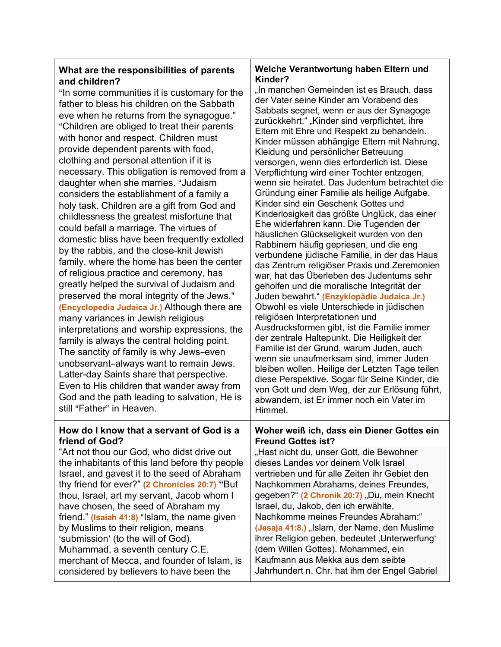#### **What are the responsibilities of parents and children?**

"In some communities it is customary for the father to bless his children on the Sabbath eve when he returns from the synagogue." "Children are obliged to treat their parents with honor and respect. Children must provide dependent parents with food, clothing and personal attention if it is necessary. This obligation is removed from a daughter when she marries. "Judaism considers the establishment of a family a holy task. Children are a gift from God and childlessness the greatest misfortune that could befall a marriage. The virtues of domestic bliss have been frequently extolled by the rabbis, and the close-knit Jewish family, where the home has been the center of religious practice and ceremony, has greatly helped the survival of Judaism and preserved the moral integrity of the Jews." **(Encyclopedia Judaica Jr.)** Although there are many variances in Jewish religious interpretations and worship expressions, the family is always the central holding point. The sanctity of family is why Jews-even unobservant-always want to remain Jews. Latter-day Saints share that perspective. Even to His children that wander away from God and the path leading to salvation, He is still "Father" in Heaven.

#### **How do I know that a servant of God is a friend of God?**

"Art not thou our God, who didst drive out the inhabitants of this land before thy people Israel, and gavest it to the seed of Abraham thy friend for ever?" **(2 Chronicles 20:7) "**But thou, Israel, art my servant, Jacob whom I have chosen, the seed of Abraham my friend." **(Isaiah 41:8)** "Islam, the name given by Muslims to their religion, means 'submission' (to the will of God). Muhammad, a seventh century C.E. merchant of Mecca, and founder of Islam, is considered by believers to have been the

#### **Welche Verantwortung haben Eltern und Kinder?**

"In manchen Gemeinden ist es Brauch, dass der Vater seine Kinder am Vorabend des Sabbats segnet, wenn er aus der Synagoge zurückkehrt." "Kinder sind verpflichtet, ihre Eltern mit Ehre und Respekt zu behandeln. Kinder müssen abhängige Eltern mit Nahrung, Kleidung und persönlicher Betreuung versorgen, wenn dies erforderlich ist. Diese Verpflichtung wird einer Tochter entzogen, wenn sie heiratet. Das Judentum betrachtet die Gründung einer Familie als heilige Aufgabe. Kinder sind ein Geschenk Gottes und Kinderlosigkeit das größte Unglück, das einer Ehe widerfahren kann. Die Tugenden der häuslichen Glückseligkeit wurden von den Rabbinern häufig gepriesen, und die eng verbundene jüdische Familie, in der das Haus das Zentrum religiöser Praxis und Zeremonien war, hat das Überleben des Judentums sehr geholfen und die moralische Integrität der Juden bewahrt." **(Enzyklopädie Judaica Jr.)** Obwohl es viele Unterschiede in jüdischen religiösen Interpretationen und Ausdrucksformen gibt, ist die Familie immer der zentrale Haltepunkt. Die Heiligkeit der Familie ist der Grund, warum Juden, auch wenn sie unaufmerksam sind, immer Juden bleiben wollen. Heilige der Letzten Tage teilen diese Perspektive. Sogar für Seine Kinder, die von Gott und dem Weg, der zur Erlösung führt, abwandern, ist Er immer noch ein Vater im Himmel.

#### **Woher weiß ich, dass ein Diener Gottes ein Freund Gottes ist?**

"Hast nicht du, unser Gott, die Bewohner dieses Landes vor deinem Volk Israel vertrieben und für alle Zeiten ihr Gebiet den Nachkommen Abrahams, deines Freundes, gegeben?" **(2 Chronik 20:7)** "Du, mein Knecht Israel, du, Jakob, den ich erwählte, Nachkomme meines Freundes Abraham:" **(Jesaja 41:8.)** "Islam, der Name, den Muslime ihrer Religion geben, bedeutet , Unterwerfung' (dem Willen Gottes). Mohammed, ein Kaufmann aus Mekka aus dem seibte Jahrhundert n. Chr. hat ihm der Engel Gabriel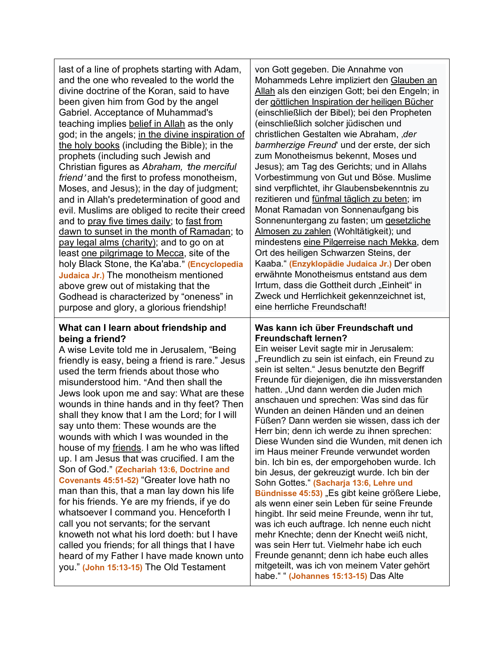last of a line of prophets starting with Adam, and the one who revealed to the world the divine doctrine of the Koran, said to have been given him from God by the angel Gabriel. Acceptance of Muhammad's teaching implies belief in Allah as the only god; in the angels; in the divine inspiration of the holy books (including the Bible); in the prophets (including such Jewish and Christian figures as *Abraham, the merciful friend* 'and the first to profess monotheism, Moses, and Jesus); in the day of judgment; and in Allah's predetermination of good and evil. Muslims are obliged to recite their creed and to pray five times daily; to fast from dawn to sunset in the month of Ramadan; to pay legal alms (charity); and to go on at least one pilgrimage to Mecca, site of the holy Black Stone, the Ka'aba." (Encyclopedia **Judaica Jr.)** The monotheism mentioned above grew out of mistaking that the Godhead is characterized by "oneness" in purpose and glory, a glorious friendship!

#### **What can I learn about friendship and being a friend?**

A wise Levite told me in Jerusalem, "Being friendly is easy, being a friend is rare." Jesus used the term friends about those who misunderstood him. "And then shall the Jews look upon me and say: What are these wounds in thine hands and in thy feet? Then shall they know that I am the Lord; for I will say unto them: These wounds are the wounds with which I was wounded in the house of my friends. I am he who was lifted up. I am Jesus that was crucified. I am the Son of God." (Zechariah 13:6, Doctrine and **Covenants 45:51-52)** "Greater love hath no man than this, that a man lay down his life for his friends. Ye are my friends, if ye do whatsoever I command you. Henceforth I call you not servants; for the servant knoweth not what his lord doeth: but I have called you friends; for all things that I have heard of my Father I have made known unto you." **(John 15:13-15)** The Old Testament

von Gott gegeben. Die Annahme von Mohammeds Lehre impliziert den Glauben an Allah als den einzigen Gott; bei den Engeln; in der göttlichen Inspiration der heiligen Bücher (einschließlich der Bibel); bei den Propheten (einschließlich solcher jüdischen und christlichen Gestalten wie Abraham, '*der barmherzige Freund*' und der erste, der sich zum Monotheismus bekennt, Moses und Jesus); am Tag des Gerichts; und in Allahs Vorbestimmung von Gut und Böse. Muslime sind verpflichtet, ihr Glaubensbekenntnis zu rezitieren und fünfmal täglich zu beten; im Monat Ramadan von Sonnenaufgang bis Sonnenuntergang zu fasten; um gesetzliche Almosen zu zahlen (Wohltätigkeit); und mindestens eine Pilgerreise nach Mekka, dem Ort des heiligen Schwarzen Steins, der Kaaba." **(Enzyklopädie Judaica Jr.)** Der oben erwähnte Monotheismus entstand aus dem Irrtum, dass die Gottheit durch "Einheit" in Zweck und Herrlichkeit gekennzeichnet ist, eine herrliche Freundschaft!

#### **Was kann ich über Freundschaft und Freundschaft lernen?**

Ein weiser Levit sagte mir in Jerusalem: "Freundlich zu sein ist einfach, ein Freund zu sein ist selten." Jesus benutzte den Begriff Freunde für diejenigen, die ihn missverstanden hatten. "Und dann werden die Juden mich anschauen und sprechen: Was sind das für Wunden an deinen Händen und an deinen Füßen? Dann werden sie wissen, dass ich der Herr bin; denn ich werde zu ihnen sprechen: Diese Wunden sind die Wunden, mit denen ich im Haus meiner Freunde verwundet worden bin. Ich bin es, der emporgehoben wurde. Ich bin Jesus, der gekreuzigt wurde. Ich bin der Sohn Gottes." **(Sacharja 13:6, Lehre und Bündnisse 45:53)** "Es gibt keine größere Liebe, als wenn einer sein Leben für seine Freunde hingibt. Ihr seid meine Freunde, wenn ihr tut, was ich euch auftrage. Ich nenne euch nicht mehr Knechte; denn der Knecht weiß nicht, was sein Herr tut. Vielmehr habe ich euch Freunde genannt; denn ich habe euch alles mitgeteilt, was ich von meinem Vater gehört habe." " **(Johannes 15:13-15)** Das Alte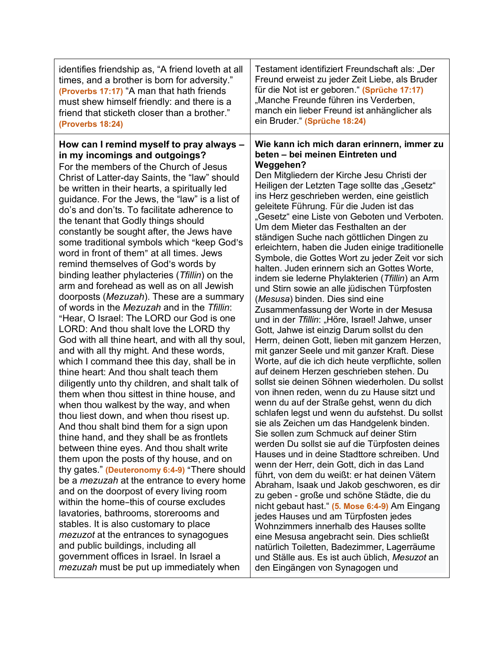| identifies friendship as, "A friend loveth at all                                                                                                                                                                                                                                                                                                                                                                                                                                                                                                                                                                                                                                                                                                                                                                                                                                                                                                                                                                                                                                                                                                                                                                                                                                                                                                                                                                                                                                                                                                                                                                                    | Testament identifiziert Freundschaft als: "Der                                                                                                                                                                                                                                                                                                                                                                                                                                                                                                                                                                                                                                                                                                                                                                                                                                                                                                                                                                                                                                                                                                                                                                                                                                                                                                                                                                                                                                                                                                                                                                                                                                                                                                             |
|--------------------------------------------------------------------------------------------------------------------------------------------------------------------------------------------------------------------------------------------------------------------------------------------------------------------------------------------------------------------------------------------------------------------------------------------------------------------------------------------------------------------------------------------------------------------------------------------------------------------------------------------------------------------------------------------------------------------------------------------------------------------------------------------------------------------------------------------------------------------------------------------------------------------------------------------------------------------------------------------------------------------------------------------------------------------------------------------------------------------------------------------------------------------------------------------------------------------------------------------------------------------------------------------------------------------------------------------------------------------------------------------------------------------------------------------------------------------------------------------------------------------------------------------------------------------------------------------------------------------------------------|------------------------------------------------------------------------------------------------------------------------------------------------------------------------------------------------------------------------------------------------------------------------------------------------------------------------------------------------------------------------------------------------------------------------------------------------------------------------------------------------------------------------------------------------------------------------------------------------------------------------------------------------------------------------------------------------------------------------------------------------------------------------------------------------------------------------------------------------------------------------------------------------------------------------------------------------------------------------------------------------------------------------------------------------------------------------------------------------------------------------------------------------------------------------------------------------------------------------------------------------------------------------------------------------------------------------------------------------------------------------------------------------------------------------------------------------------------------------------------------------------------------------------------------------------------------------------------------------------------------------------------------------------------------------------------------------------------------------------------------------------------|
| times, and a brother is born for adversity."                                                                                                                                                                                                                                                                                                                                                                                                                                                                                                                                                                                                                                                                                                                                                                                                                                                                                                                                                                                                                                                                                                                                                                                                                                                                                                                                                                                                                                                                                                                                                                                         | Freund erweist zu jeder Zeit Liebe, als Bruder                                                                                                                                                                                                                                                                                                                                                                                                                                                                                                                                                                                                                                                                                                                                                                                                                                                                                                                                                                                                                                                                                                                                                                                                                                                                                                                                                                                                                                                                                                                                                                                                                                                                                                             |
| (Proverbs 17:17) "A man that hath friends                                                                                                                                                                                                                                                                                                                                                                                                                                                                                                                                                                                                                                                                                                                                                                                                                                                                                                                                                                                                                                                                                                                                                                                                                                                                                                                                                                                                                                                                                                                                                                                            | für die Not ist er geboren " (Sprüche 17:17)                                                                                                                                                                                                                                                                                                                                                                                                                                                                                                                                                                                                                                                                                                                                                                                                                                                                                                                                                                                                                                                                                                                                                                                                                                                                                                                                                                                                                                                                                                                                                                                                                                                                                                               |
| must shew himself friendly: and there is a                                                                                                                                                                                                                                                                                                                                                                                                                                                                                                                                                                                                                                                                                                                                                                                                                                                                                                                                                                                                                                                                                                                                                                                                                                                                                                                                                                                                                                                                                                                                                                                           | "Manche Freunde führen ins Verderben,                                                                                                                                                                                                                                                                                                                                                                                                                                                                                                                                                                                                                                                                                                                                                                                                                                                                                                                                                                                                                                                                                                                                                                                                                                                                                                                                                                                                                                                                                                                                                                                                                                                                                                                      |
| friend that sticketh closer than a brother."                                                                                                                                                                                                                                                                                                                                                                                                                                                                                                                                                                                                                                                                                                                                                                                                                                                                                                                                                                                                                                                                                                                                                                                                                                                                                                                                                                                                                                                                                                                                                                                         | manch ein lieber Freund ist anhänglicher als                                                                                                                                                                                                                                                                                                                                                                                                                                                                                                                                                                                                                                                                                                                                                                                                                                                                                                                                                                                                                                                                                                                                                                                                                                                                                                                                                                                                                                                                                                                                                                                                                                                                                                               |
| (Proverbs 18:24)                                                                                                                                                                                                                                                                                                                                                                                                                                                                                                                                                                                                                                                                                                                                                                                                                                                                                                                                                                                                                                                                                                                                                                                                                                                                                                                                                                                                                                                                                                                                                                                                                     | ein Bruder." (Sprüche 18:24)                                                                                                                                                                                                                                                                                                                                                                                                                                                                                                                                                                                                                                                                                                                                                                                                                                                                                                                                                                                                                                                                                                                                                                                                                                                                                                                                                                                                                                                                                                                                                                                                                                                                                                                               |
| How can I remind myself to pray always -<br>in my incomings and outgoings?<br>For the members of the Church of Jesus<br>Christ of Latter-day Saints, the "law" should<br>be written in their hearts, a spiritually led<br>guidance. For the Jews, the "law" is a list of<br>do's and don'ts. To facilitate adherence to<br>the tenant that Godly things should<br>constantly be sought after, the Jews have<br>some traditional symbols which "keep God's<br>word in front of them" at all times. Jews<br>remind themselves of God's words by<br>binding leather phylacteries (Tfillin) on the<br>arm and forehead as well as on all Jewish<br>doorposts (Mezuzah). These are a summary<br>of words in the Mezuzah and in the Tfillin:<br>"Hear, O Israel: The LORD our God is one<br>LORD: And thou shalt love the LORD thy<br>God with all thine heart, and with all thy soul,<br>and with all thy might. And these words,<br>which I command thee this day, shall be in<br>thine heart: And thou shalt teach them<br>diligently unto thy children, and shalt talk of<br>them when thou sittest in thine house, and<br>when thou walkest by the way, and when<br>thou liest down, and when thou risest up.<br>And thou shalt bind them for a sign upon<br>thine hand, and they shall be as frontlets<br>between thine eyes. And thou shalt write<br>them upon the posts of thy house, and on<br>thy gates." (Deuteronomy 6:4-9) "There should<br>be a <i>mezuzah</i> at the entrance to every home<br>and on the doorpost of every living room<br>within the home-this of course excludes<br>lavatories, bathrooms, storerooms and | Wie kann ich mich daran erinnern, immer zu<br>beten - bei meinen Eintreten und<br>Weggehen?<br>Den Mitgliedern der Kirche Jesu Christi der<br>Heiligen der Letzten Tage sollte das "Gesetz"<br>ins Herz geschrieben werden, eine geistlich<br>geleitete Führung. Für die Juden ist das<br>"Gesetz" eine Liste von Geboten und Verboten.<br>Um dem Mieter das Festhalten an der<br>ständigen Suche nach göttlichen Dingen zu<br>erleichtern, haben die Juden einige traditionelle<br>Symbole, die Gottes Wort zu jeder Zeit vor sich<br>halten. Juden erinnern sich an Gottes Worte,<br>indem sie lederne Phylakterien (Tfillin) an Arm<br>und Stirn sowie an alle jüdischen Türpfosten<br>(Mesusa) binden. Dies sind eine<br>Zusammenfassung der Worte in der Mesusa<br>und in der Tfillin: "Höre, Israel! Jahwe, unser<br>Gott, Jahwe ist einzig Darum sollst du den<br>Herrn, deinen Gott, lieben mit ganzem Herzen,<br>mit ganzer Seele und mit ganzer Kraft. Diese<br>Worte, auf die ich dich heute verpflichte, sollen<br>auf deinem Herzen geschrieben stehen. Du<br>sollst sie deinen Söhnen wiederholen. Du sollst<br>von ihnen reden, wenn du zu Hause sitzt und<br>wenn du auf der Straße gehst, wenn du dich<br>schlafen legst und wenn du aufstehst. Du sollst<br>sie als Zeichen um das Handgelenk binden.<br>Sie sollen zum Schmuck auf deiner Stirn<br>werden Du sollst sie auf die Türpfosten deines<br>Hauses und in deine Stadttore schreiben. Und<br>wenn der Herr, dein Gott, dich in das Land<br>führt, von dem du weißt: er hat deinen Vätern<br>Abraham, Isaak und Jakob geschworen, es dir<br>zu geben - große und schöne Städte, die du<br>nicht gebaut hast." (5. Mose 6:4-9) Am Eingang<br>jedes Hauses und am Türpfosten jedes |
| stables. It is also customary to place                                                                                                                                                                                                                                                                                                                                                                                                                                                                                                                                                                                                                                                                                                                                                                                                                                                                                                                                                                                                                                                                                                                                                                                                                                                                                                                                                                                                                                                                                                                                                                                               | Wohnzimmers innerhalb des Hauses sollte                                                                                                                                                                                                                                                                                                                                                                                                                                                                                                                                                                                                                                                                                                                                                                                                                                                                                                                                                                                                                                                                                                                                                                                                                                                                                                                                                                                                                                                                                                                                                                                                                                                                                                                    |
| <i>mezuzot</i> at the entrances to synagogues                                                                                                                                                                                                                                                                                                                                                                                                                                                                                                                                                                                                                                                                                                                                                                                                                                                                                                                                                                                                                                                                                                                                                                                                                                                                                                                                                                                                                                                                                                                                                                                        | eine Mesusa angebracht sein. Dies schließt                                                                                                                                                                                                                                                                                                                                                                                                                                                                                                                                                                                                                                                                                                                                                                                                                                                                                                                                                                                                                                                                                                                                                                                                                                                                                                                                                                                                                                                                                                                                                                                                                                                                                                                 |
| and public buildings, including all                                                                                                                                                                                                                                                                                                                                                                                                                                                                                                                                                                                                                                                                                                                                                                                                                                                                                                                                                                                                                                                                                                                                                                                                                                                                                                                                                                                                                                                                                                                                                                                                  | natürlich Toiletten, Badezimmer, Lagerräume                                                                                                                                                                                                                                                                                                                                                                                                                                                                                                                                                                                                                                                                                                                                                                                                                                                                                                                                                                                                                                                                                                                                                                                                                                                                                                                                                                                                                                                                                                                                                                                                                                                                                                                |
| government offices in Israel. In Israel a                                                                                                                                                                                                                                                                                                                                                                                                                                                                                                                                                                                                                                                                                                                                                                                                                                                                                                                                                                                                                                                                                                                                                                                                                                                                                                                                                                                                                                                                                                                                                                                            | und Ställe aus. Es ist auch üblich, Mesuzot an                                                                                                                                                                                                                                                                                                                                                                                                                                                                                                                                                                                                                                                                                                                                                                                                                                                                                                                                                                                                                                                                                                                                                                                                                                                                                                                                                                                                                                                                                                                                                                                                                                                                                                             |
| mezuzah must be put up immediately when                                                                                                                                                                                                                                                                                                                                                                                                                                                                                                                                                                                                                                                                                                                                                                                                                                                                                                                                                                                                                                                                                                                                                                                                                                                                                                                                                                                                                                                                                                                                                                                              | den Eingängen von Synagogen und                                                                                                                                                                                                                                                                                                                                                                                                                                                                                                                                                                                                                                                                                                                                                                                                                                                                                                                                                                                                                                                                                                                                                                                                                                                                                                                                                                                                                                                                                                                                                                                                                                                                                                                            |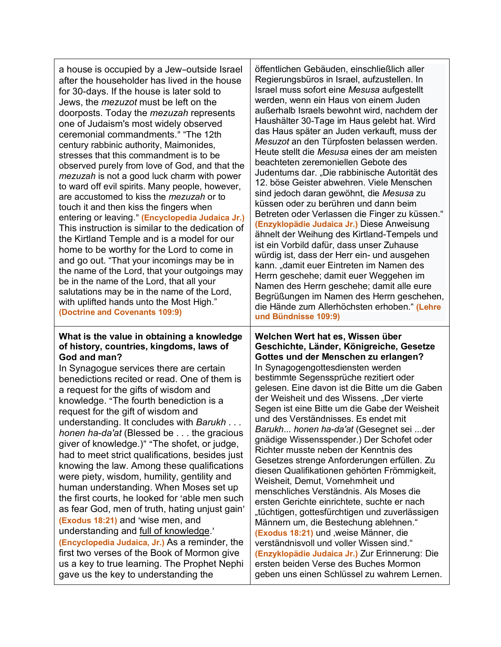a house is occupied by a Jew-outside Israel after the householder has lived in the house for 30-days. If the house is later sold to Jews, the *mezuzot* must be left on the doorposts. Today the *mezuzah* represents one of Judaism's most widely observed ceremonial commandments." "The 12th century rabbinic authority, Maimonides, stresses that this commandment is to be observed purely from love of God, and that the *mezuzah* is not a good luck charm with power to ward off evil spirits. Many people, however, are accustomed to kiss the *mezuzah* or to touch it and then kiss the fingers when entering or leaving." (**Encyclopedia Judaica Jr.**) This instruction is similar to the dedication of the Kirtland Temple and is a model for our home to be worthy for the Lord to come in and go out. "That your incomings may be in the name of the Lord, that your outgoings may be in the name of the Lord, that all your salutations may be in the name of the Lord, with uplifted hands unto the Most High." **(Doctrine and Covenants 109:9) What is the value in obtaining a knowledge of history, countries, kingdoms, laws of** 

# **God and man?**

In Synagogue services there are certain benedictions recited or read. One of them is a request for the gifts of wisdom and knowledge. "The fourth benediction is a request for the gift of wisdom and understanding. It concludes with *Barukh* . . . *honen ha*-*da'at* (Blessed be . . . the gracious giver of knowledge.)" "The shofet, or judge, had to meet strict qualifications, besides just knowing the law. Among these qualifications were piety, wisdom, humility, gentility and human understanding. When Moses set up the first courts, he looked for 'able men such as fear God, men of truth, hating uniust gain' **(Exodus 18:21)** and 'wise men, and understanding and full of knowledge.' **(Encyclopedia Judaica, Jr.)** As a reminder, the first two verses of the Book of Mormon give us a key to true learning. The Prophet Nephi gave us the key to understanding the

öffentlichen Gebäuden, einschließlich aller Regierungsbüros in Israel, aufzustellen. In Israel muss sofort eine *Mesusa* aufgestellt werden, wenn ein Haus von einem Juden außerhalb Israels bewohnt wird, nachdem der Haushälter 30-Tage im Haus gelebt hat. Wird das Haus später an Juden verkauft, muss der *Mesuzot* an den Türpfosten belassen werden. Heute stellt die *Mesusa* eines der am meisten beachteten zeremoniellen Gebote des Judentums dar. "Die rabbinische Autorität des 12. böse Geister abwehren. Viele Menschen sind jedoch daran gewöhnt, die *Mesusa* zu küssen oder zu berühren und dann beim Betreten oder Verlassen die Finger zu küssen." **(Enzyklopädie Judaica Jr.)** Diese Anweisung ähnelt der Weihung des Kirtland-Tempels und ist ein Vorbild dafür, dass unser Zuhause würdig ist, dass der Herr ein- und ausgehen kann. "damit euer Eintreten im Namen des Herrn geschehe; damit euer Weggehen im Namen des Herrn geschehe; damit alle eure Begrüßungen im Namen des Herrn geschehen, die Hände zum Allerhöchsten erhoben." **(Lehre und Bündnisse 109:9)**

**Welchen Wert hat es, Wissen über Geschichte, Länder, Königreiche, Gesetze Gottes und der Menschen zu erlangen?** In Synagogengottesdiensten werden bestimmte Segenssprüche rezitiert oder gelesen. Eine davon ist die Bitte um die Gaben der Weisheit und des Wissens. "Der vierte Segen ist eine Bitte um die Gabe der Weisheit und des Verständnisses. Es endet mit *Barukh*... *honen ha*-*da'at* (Gesegnet sei ...der gnädige Wissensspender.) Der Schofet oder Richter musste neben der Kenntnis des Gesetzes strenge Anforderungen erfüllen. Zu diesen Qualifikationen gehörten Frömmigkeit, Weisheit, Demut, Vornehmheit und menschliches Verständnis. Als Moses die ersten Gerichte einrichtete, suchte er nach "tüchtigen, gottesfürchtigen und zuverlässigen Männern um, die Bestechung ablehnen." **(Exodus 18:21)** und weise Männer, die verständnisvoll und voller Wissen sind." **(Enzyklopädie Judaica Jr.)** Zur Erinnerung: Die ersten beiden Verse des Buches Mormon geben uns einen Schlüssel zu wahrem Lernen.